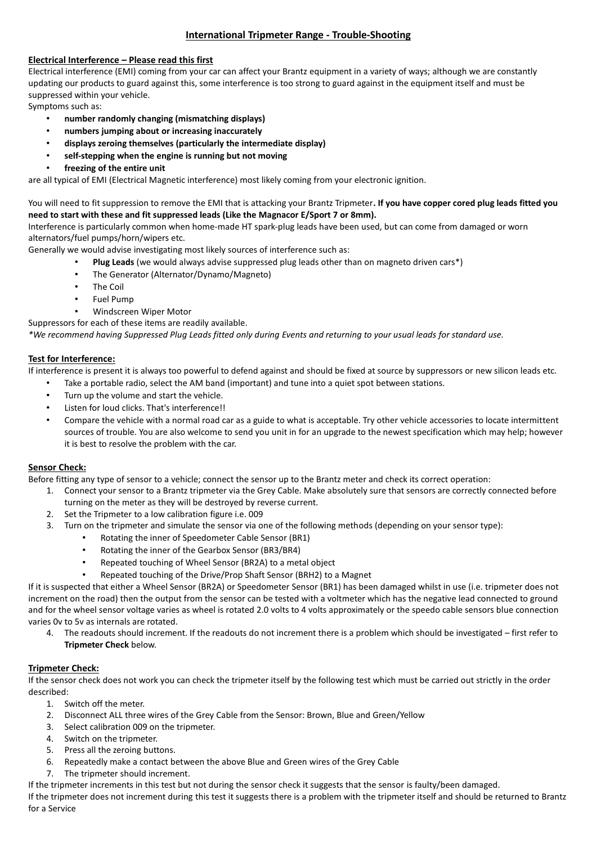# **International Tripmeter Range - Trouble-Shooting**

# **Electrical Interference – Please read this first**

Electrical interference (EMI) coming from your car can affect your Brantz equipment in a variety of ways; although we are constantly updating our products to guard against this, some interference is too strong to guard against in the equipment itself and must be suppressed within your vehicle.

Symptoms such as:

- **number randomly changing (mismatching displays)**
- **numbers jumping about or increasing inaccurately**
- **displays zeroing themselves (particularly the intermediate display)**
- **self-stepping when the engine is running but not moving**
- **freezing of the entire unit**

are all typical of EMI (Electrical Magnetic interference) most likely coming from your electronic ignition.

## You will need to fit suppression to remove the EMI that is attacking your Brantz Tripmeter**. If you have copper cored plug leads fitted you need to start with these and fit suppressed leads (Like the [Magnacor](http://www.magnecor.co.uk/) E/Sport 7 or 8mm).**

Interference is particularly common when home-made HT spark-plug leads have been used, but can come from damaged or worn alternators/fuel pumps/horn/wipers etc.

Generally we would advise investigating most likely sources of interference such as:

- **Plug Leads** (we would always advise suppressed plug leads other than on magneto driven cars\*)
- The Generator (Alternator/Dynamo/Magneto)
- The Coil
- Fuel Pump
- Windscreen Wiper Motor

Suppressors for each of these items are readily available.

*\*We recommend having Suppressed Plug Leads fitted only during Events and returning to your usual leads for standard use.*

# **Test for Interference:**

If interference is present it is always too powerful to defend against and should be fixed at source by suppressors or new silicon leads etc.

- Take a portable radio, select the AM band (important) and tune into a quiet spot between stations.
- Turn up the volume and start the vehicle.
- Listen for loud clicks. That's interference!!
- Compare the vehicle with a normal road car as a guide to what is acceptable. Try other vehicle accessories to locate intermittent sources of trouble. You are also welcome to send you unit in for an upgrade to the newest specification which may help; however it is best to resolve the problem with the car.

## **Sensor Check:**

Before fitting any type of sensor to a vehicle; connect the sensor up to the Brantz meter and check its correct operation:

- 1. Connect your sensor to a Brantz tripmeter via the Grey Cable. Make absolutely sure that sensors are correctly connected before turning on the meter as they will be destroyed by reverse current.
- 2. Set the Tripmeter to a low calibration figure i.e. 009
- 3. Turn on the tripmeter and simulate the sensor via one of the following methods (depending on your sensor type):
	- Rotating the inner of Speedometer Cable Sensor (BR1)
	- Rotating the inner of the Gearbox Sensor (BR3/BR4)
	- Repeated touching of Wheel Sensor (BR2A) to a metal object
	- Repeated touching of the Drive/Prop Shaft Sensor (BRH2) to a Magnet

If it is suspected that either a Wheel Sensor (BR2A) or Speedometer Sensor (BR1) has been damaged whilst in use (i.e. tripmeter does not increment on the road) then the output from the sensor can be tested with a voltmeter which has the negative lead connected to ground and for the wheel sensor voltage varies as wheel is rotated 2.0 volts to 4 volts approximately or the speedo cable sensors blue connection varies 0v to 5v as internals are rotated.

4. The readouts should increment. If the readouts do not increment there is a problem which should be investigated – first refer to **Tripmeter Check** below.

# **Tripmeter Check:**

If the sensor check does not work you can check the tripmeter itself by the following test which must be carried out strictly in the order described:

- 1. Switch off the meter.
- 2. Disconnect ALL three wires of the Grey Cable from the Sensor: Brown, Blue and Green/Yellow
- 3. Select calibration 009 on the tripmeter.
- 4. Switch on the tripmeter.
- 5. Press all the zeroing buttons.
- 6. Repeatedly make a contact between the above Blue and Green wires of the Grey Cable
- 7. The tripmeter should increment.
- If the tripmeter increments in this test but not during the sensor check it suggests that the sensor is faulty/been damaged.

If the tripmeter does not increment during this test it suggests there is a problem with the tripmeter itself and should be returned to Brantz for a Service